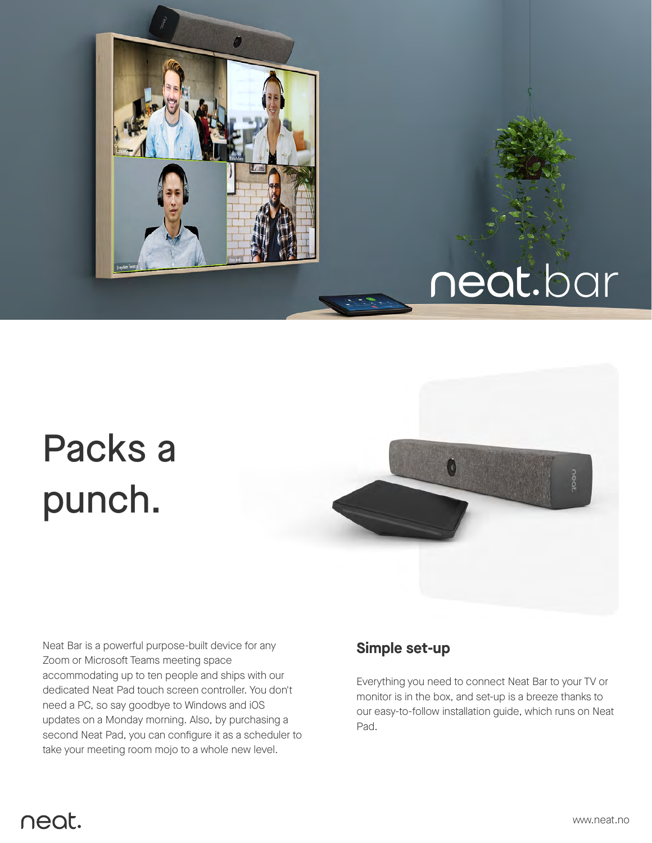

# neat.bar

## Packs a punch.



Neat Bar is a powerful purpose-built device for any Zoom or Microsoft Teams meeting space accommodating up to ten people and ships with our dedicated Neat Pad touch screen controller. You don't need a PC, so say goodbye to Windows and iOS updates on a Monday morning. Also, by purchasing a second Neat Pad, you can configure it as a scheduler to take your meeting room mojo to a whole new level.

#### **Simple set-up**

Everything you need to connect Neat Bar to your TV or monitor is in the box, and set-up is a breeze thanks to our easy-to-follow installation guide, which runs on Neat Pad.

### neat.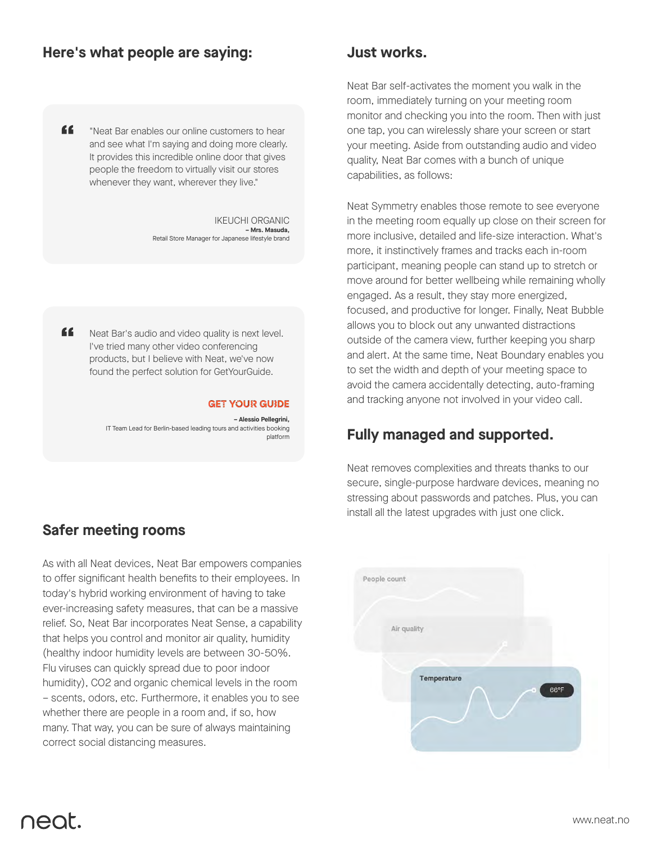#### **Here's what people are saying:**

" "Neat Bar enables our online customers to hear and see what I'm saying and doing more clearly. It provides this incredible online door that gives people the freedom to virtually visit our stores whenever they want, wherever they live."

> IKEUCHI ORGANIC **– Mrs. Masuda,**  Retail Store Manager for Japanese lifestyle brand

" Neat Bar's audio and video quality is next level. I've tried many other video conferencing products, but I believe with Neat, we've now found the perfect solution for GetYourGuide.

#### **GET YOUR GUIDE**

**– Alessio Pellegrini,**  IT Team Lead for Berlin-based leading tours and activities booking platform

#### **Safer meeting rooms**

As with all Neat devices, Neat Bar empowers companies to offer significant health benefits to their employees. In today's hybrid working environment of having to take ever-increasing safety measures, that can be a massive relief. So, Neat Bar incorporates Neat Sense, a capability that helps you control and monitor air quality, humidity (healthy indoor humidity levels are between 30-50%. Flu viruses can quickly spread due to poor indoor humidity), CO2 and organic chemical levels in the room – scents, odors, etc. Furthermore, it enables you to see whether there are people in a room and, if so, how many. That way, you can be sure of always maintaining correct social distancing measures.

#### **Just works.**

Neat Bar self-activates the moment you walk in the room, immediately turning on your meeting room monitor and checking you into the room. Then with just one tap, you can wirelessly share your screen or start your meeting. Aside from outstanding audio and video quality, Neat Bar comes with a bunch of unique capabilities, as follows:

Neat Symmetry enables those remote to see everyone in the meeting room equally up close on their screen for more inclusive, detailed and life-size interaction. What's more, it instinctively frames and tracks each in-room participant, meaning people can stand up to stretch or move around for better wellbeing while remaining wholly engaged. As a result, they stay more energized, focused, and productive for longer. Finally, Neat Bubble allows you to block out any unwanted distractions outside of the camera view, further keeping you sharp and alert. At the same time, Neat Boundary enables you to set the width and depth of your meeting space to avoid the camera accidentally detecting, auto-framing and tracking anyone not involved in your video call.

#### **Fully managed and supported.**

Neat removes complexities and threats thanks to our secure, single-purpose hardware devices, meaning no stressing about passwords and patches. Plus, you can install all the latest upgrades with just one click.